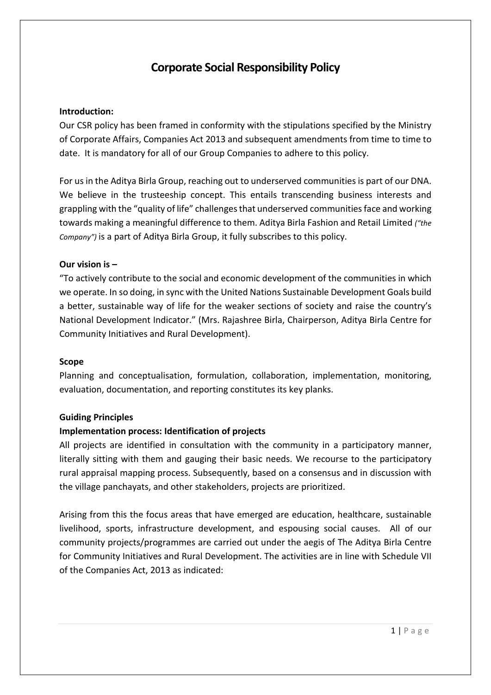# **Corporate Social Responsibility Policy**

## **Introduction:**

Our CSR policy has been framed in conformity with the stipulations specified by the Ministry of Corporate Affairs, Companies Act 2013 and subsequent amendments from time to time to date. It is mandatory for all of our Group Companies to adhere to this policy.

For us in the Aditya Birla Group, reaching out to underserved communities is part of our DNA. We believe in the trusteeship concept. This entails transcending business interests and grappling with the "quality of life" challenges that underserved communities face and working towards making a meaningful difference to them. Aditya Birla Fashion and Retail Limited *("the Company")* is a part of Aditya Birla Group, it fully subscribes to this policy.

## **Our vision is –**

"To actively contribute to the social and economic development of the communities in which we operate. In so doing, in sync with the United Nations Sustainable Development Goals build a better, sustainable way of life for the weaker sections of society and raise the country's National Development Indicator." (Mrs. Rajashree Birla, Chairperson, Aditya Birla Centre for Community Initiatives and Rural Development).

#### **Scope**

Planning and conceptualisation, formulation, collaboration, implementation, monitoring, evaluation, documentation, and reporting constitutes its key planks.

#### **Guiding Principles**

#### **Implementation process: Identification of projects**

All projects are identified in consultation with the community in a participatory manner, literally sitting with them and gauging their basic needs. We recourse to the participatory rural appraisal mapping process. Subsequently, based on a consensus and in discussion with the village panchayats, and other stakeholders, projects are prioritized.

Arising from this the focus areas that have emerged are education, healthcare, sustainable livelihood, sports, infrastructure development, and espousing social causes. All of our community projects/programmes are carried out under the aegis of The Aditya Birla Centre for Community Initiatives and Rural Development. The activities are in line with Schedule VII of the Companies Act, 2013 as indicated: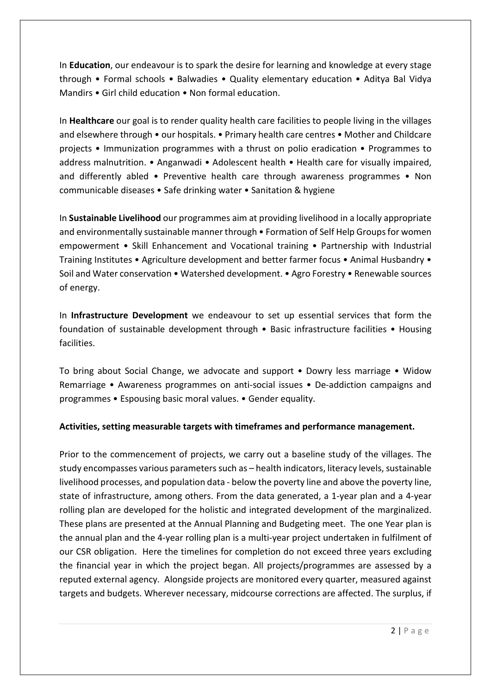In **Education**, our endeavour is to spark the desire for learning and knowledge at every stage through • Formal schools • Balwadies • Quality elementary education • Aditya Bal Vidya Mandirs • Girl child education • Non formal education.

In **Healthcare** our goal is to render quality health care facilities to people living in the villages and elsewhere through • our hospitals. • Primary health care centres • Mother and Childcare projects • Immunization programmes with a thrust on polio eradication • Programmes to address malnutrition. • Anganwadi • Adolescent health • Health care for visually impaired, and differently abled • Preventive health care through awareness programmes • Non communicable diseases • Safe drinking water • Sanitation & hygiene

In **Sustainable Livelihood** our programmes aim at providing livelihood in a locally appropriate and environmentally sustainable manner through • Formation of Self Help Groups for women empowerment • Skill Enhancement and Vocational training • Partnership with Industrial Training Institutes • Agriculture development and better farmer focus • Animal Husbandry • Soil and Water conservation • Watershed development. • Agro Forestry • Renewable sources of energy.

In **Infrastructure Development** we endeavour to set up essential services that form the foundation of sustainable development through • Basic infrastructure facilities • Housing facilities.

To bring about Social Change, we advocate and support • Dowry less marriage • Widow Remarriage • Awareness programmes on anti-social issues • De-addiction campaigns and programmes • Espousing basic moral values. • Gender equality.

## **Activities, setting measurable targets with timeframes and performance management.**

Prior to the commencement of projects, we carry out a baseline study of the villages. The study encompasses various parameters such as – health indicators, literacy levels, sustainable livelihood processes, and population data - below the poverty line and above the poverty line, state of infrastructure, among others. From the data generated, a 1-year plan and a 4-year rolling plan are developed for the holistic and integrated development of the marginalized. These plans are presented at the Annual Planning and Budgeting meet. The one Year plan is the annual plan and the 4-year rolling plan is a multi-year project undertaken in fulfilment of our CSR obligation. Here the timelines for completion do not exceed three years excluding the financial year in which the project began. All projects/programmes are assessed by a reputed external agency. Alongside projects are monitored every quarter, measured against targets and budgets. Wherever necessary, midcourse corrections are affected. The surplus, if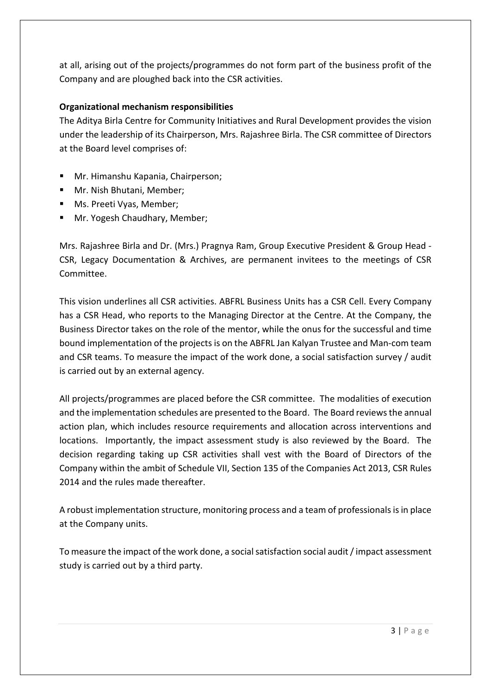at all, arising out of the projects/programmes do not form part of the business profit of the Company and are ploughed back into the CSR activities.

# **Organizational mechanism responsibilities**

The Aditya Birla Centre for Community Initiatives and Rural Development provides the vision under the leadership of its Chairperson, Mrs. Rajashree Birla. The CSR committee of Directors at the Board level comprises of:

- **Mr. Himanshu Kapania, Chairperson;**
- **Mr. Nish Bhutani, Member;**
- **Ms. Preeti Vyas, Member;**
- **Mr. Yogesh Chaudhary, Member;**

Mrs. Rajashree Birla and Dr. (Mrs.) Pragnya Ram, Group Executive President & Group Head - CSR, Legacy Documentation & Archives, are permanent invitees to the meetings of CSR Committee.

This vision underlines all CSR activities. ABFRL Business Units has a CSR Cell. Every Company has a CSR Head, who reports to the Managing Director at the Centre. At the Company, the Business Director takes on the role of the mentor, while the onus for the successful and time bound implementation of the projects is on the ABFRL Jan Kalyan Trustee and Man-com team and CSR teams. To measure the impact of the work done, a social satisfaction survey / audit is carried out by an external agency.

All projects/programmes are placed before the CSR committee. The modalities of execution and the implementation schedules are presented to the Board. The Board reviews the annual action plan, which includes resource requirements and allocation across interventions and locations. Importantly, the impact assessment study is also reviewed by the Board. The decision regarding taking up CSR activities shall vest with the Board of Directors of the Company within the ambit of Schedule VII, Section 135 of the Companies Act 2013, CSR Rules 2014 and the rules made thereafter.

A robust implementation structure, monitoring process and a team of professionals is in place at the Company units.

To measure the impact of the work done, a social satisfaction social audit / impact assessment study is carried out by a third party.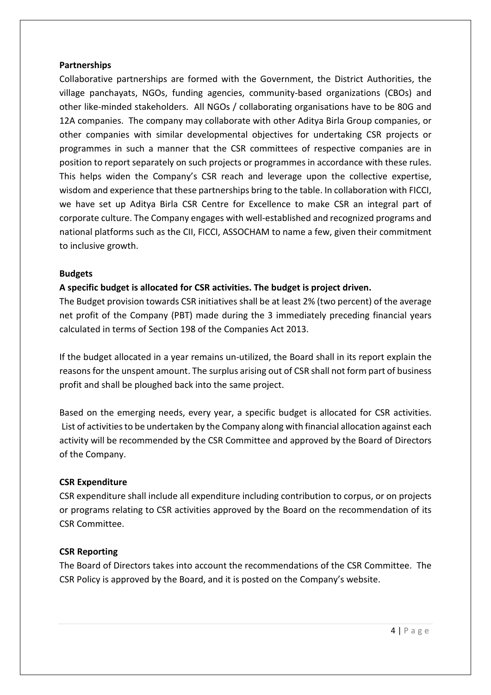#### **Partnerships**

Collaborative partnerships are formed with the Government, the District Authorities, the village panchayats, NGOs, funding agencies, community-based organizations (CBOs) and other like-minded stakeholders. All NGOs / collaborating organisations have to be 80G and 12A companies. The company may collaborate with other Aditya Birla Group companies, or other companies with similar developmental objectives for undertaking CSR projects or programmes in such a manner that the CSR committees of respective companies are in position to report separately on such projects or programmes in accordance with these rules. This helps widen the Company's CSR reach and leverage upon the collective expertise, wisdom and experience that these partnerships bring to the table. In collaboration with FICCI, we have set up Aditya Birla CSR Centre for Excellence to make CSR an integral part of corporate culture. The Company engages with well-established and recognized programs and national platforms such as the CII, FICCI, ASSOCHAM to name a few, given their commitment to inclusive growth.

## **Budgets**

# **A specific budget is allocated for CSR activities. The budget is project driven.**

The Budget provision towards CSR initiatives shall be at least 2% (two percent) of the average net profit of the Company (PBT) made during the 3 immediately preceding financial years calculated in terms of Section 198 of the Companies Act 2013.

If the budget allocated in a year remains un-utilized, the Board shall in its report explain the reasons for the unspent amount. The surplus arising out of CSR shall not form part of business profit and shall be ploughed back into the same project.

Based on the emerging needs, every year, a specific budget is allocated for CSR activities. List of activities to be undertaken by the Company along with financial allocation against each activity will be recommended by the CSR Committee and approved by the Board of Directors of the Company.

## **CSR Expenditure**

CSR expenditure shall include all expenditure including contribution to corpus, or on projects or programs relating to CSR activities approved by the Board on the recommendation of its CSR Committee.

## **CSR Reporting**

The Board of Directors takes into account the recommendations of the CSR Committee. The CSR Policy is approved by the Board, and it is posted on the Company's website.